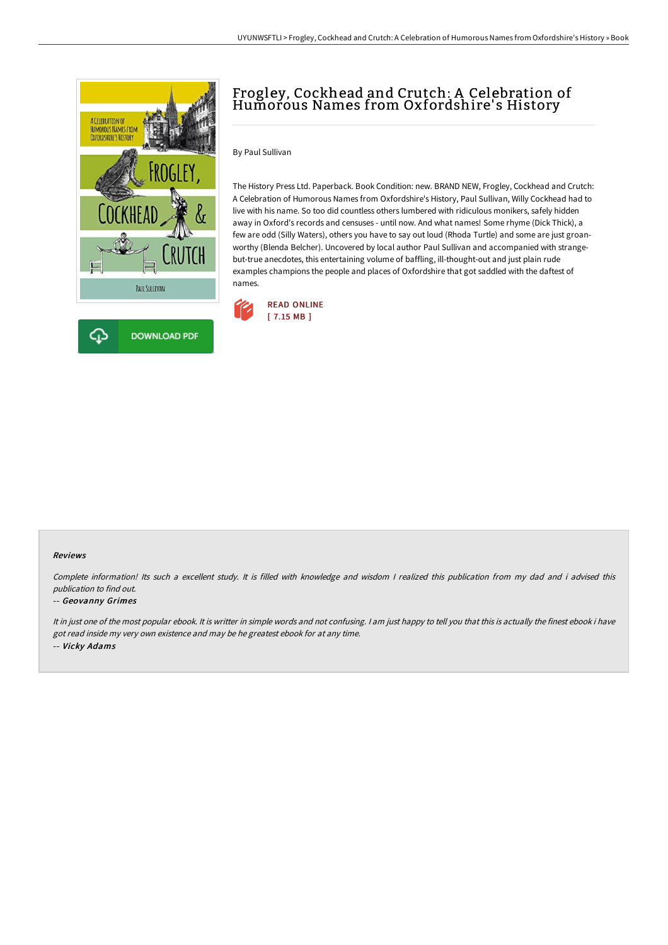

# Frogley, Cockhead and Crutch: A Celebration of Humorous Names from Oxfordshire's History

By Paul Sullivan

The History Press Ltd. Paperback. Book Condition: new. BRAND NEW, Frogley, Cockhead and Crutch: A Celebration of Humorous Names from Oxfordshire's History, Paul Sullivan, Willy Cockhead had to live with his name. So too did countless others lumbered with ridiculous monikers, safely hidden away in Oxford's records and censuses - until now. And what names! Some rhyme (Dick Thick), a few are odd (Silly Waters), others you have to say out loud (Rhoda Turtle) and some are just groanworthy (Blenda Belcher). Uncovered by local author Paul Sullivan and accompanied with strangebut-true anecdotes, this entertaining volume of baffling, ill-thought-out and just plain rude examples champions the people and places of Oxfordshire that got saddled with the daftest of names.



#### Reviews

Complete information! Its such <sup>a</sup> excellent study. It is filled with knowledge and wisdom <sup>I</sup> realized this publication from my dad and i advised this publication to find out.

#### -- Geovanny Grimes

It in just one of the most popular ebook. It is writter in simple words and not confusing. <sup>I</sup> am just happy to tell you that this is actually the finest ebook i have got read inside my very own existence and may be he greatest ebook for at any time. -- Vicky Adams